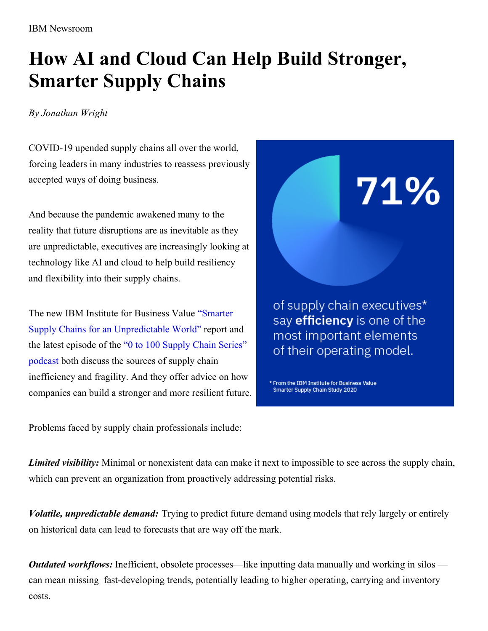IBM Newsroom

## **How AI and Cloud Can Help Build Stronger, Smarter Supply Chains**

## *By Jonathan Wright*

COVID-19 upended supply chains all over the world, forcing leaders in many industries to reassess previously accepted ways of doing business.

And because the pandemic awakened many to the reality that future disruptions are as inevitable as they are unpredictable, executives are increasingly looking at technology like AI and cloud to help build resiliency and flexibility into their supply chains.

The new IBM Institute for Business Value "Smarter Supply Chains for an [Unpredictable](https://www.ibm.com/thought-leadership/institute-business-value/report/smarter-supply-chains) World" report and the latest [episode](https://event.on24.com/wcc/r/2588918/31ACB27C4AE4E9C45AB6010C83B6E128/1426716) of the "0 to 100 Supply Chain Series" podcast both discuss the sources of supply chain inefficiency and fragility. And they offer advice on how companies can build a stronger and more resilient future. of supply chain executives\* say efficiency is one of the most important elements of their operating model.

71%

\* From the IBM Institute for Business Value Smarter Supply Chain Study 2020

Problems faced by supply chain professionals include:

*Limited visibility:* Minimal or nonexistent data can make it next to impossible to see across the supply chain, which can prevent an organization from proactively addressing potential risks.

*Volatile, unpredictable demand:* Trying to predict future demand using models that rely largely or entirely on historical data can lead to forecasts that are way off the mark.

*Outdated workflows:* Inefficient, obsolete processes—like inputting data manually and working in silos can mean missing fast-developing trends, potentially leading to higher operating, carrying and inventory costs.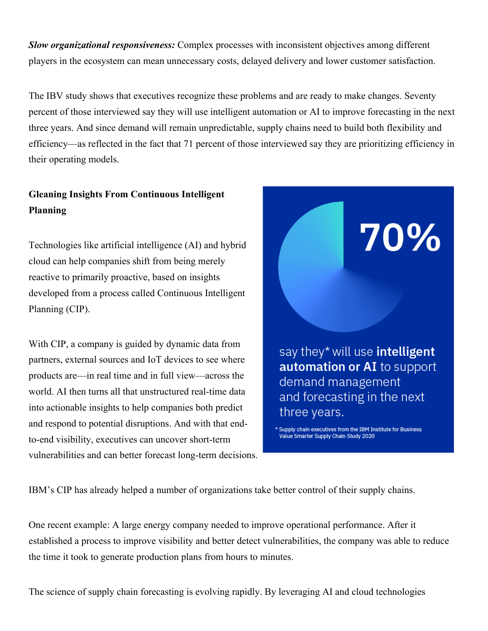*Slow organizational responsiveness:* Complex processes with inconsistent objectives among different players in the ecosystem can mean unnecessary costs, delayed delivery and lower customer satisfaction.

The IBV study shows that executives recognize these problems and are ready to make changes. Seventy percent of those interviewed say they will use intelligent automation or AI to improve forecasting in the next three years. And since demand will remain unpredictable, supply chains need to build both flexibility and efficiency—as reflected in the fact that 71 percent of those interviewed say they are prioritizing efficiency in their operating models.

## **Gleaning Insights From Continuous Intelligent Planning**

Technologies like artificial intelligence (AI) and hybrid cloud can help companies shift from being merely reactive to primarily proactive, based on insights developed from a process called Continuous Intelligent Planning (CIP).

With CIP, a company is guided by dynamic data from partners, external sources and IoT devices to see where products are—in real time and in full view—across the world. AI then turns all that unstructured real-time data into actionable insights to help companies both predict and respond to potential disruptions. And with that endto-end visibility, executives can uncover short-term vulnerabilities and can better forecast long-term decisions.



\* Supply chain executives from the IBM Institute for Business Value Smarter Supply Chain Study 2020

IBM's CIP has already helped a number of organizations take better control of their supply chains.

One recent example: A large energy company needed to improve operational performance. After it established a process to improve visibility and better detect vulnerabilities, the company was able to reduce the time it took to generate production plans from hours to minutes.

The science of supply chain forecasting is evolving rapidly. By leveraging AI and cloud technologies